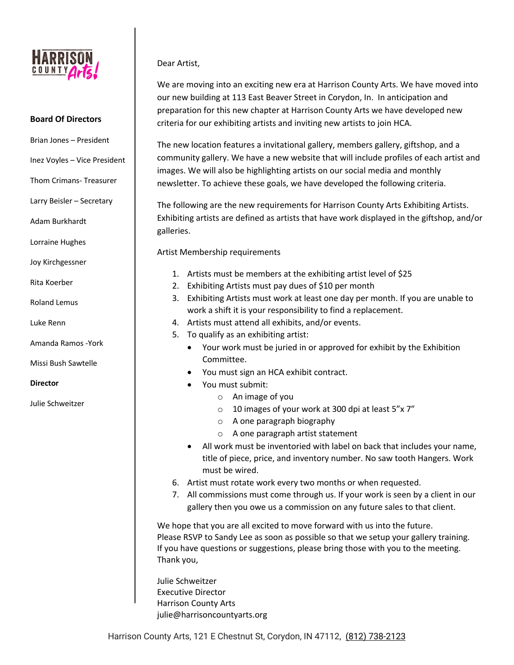

#### **Board Of Directors**

- Brian Jones President
- Inez Voyles Vice President
- Thom Crimans- Treasurer
- Larry Beisler Secretary
- Adam Burkhardt
- Lorraine Hughes
- Joy Kirchgessner
- Rita Koerber
- Roland Lemus
- Luke Renn
- Amanda Ramos -York
- Missi Bush Sawtelle
- **Director**
- Julie Schweitzer

## Dear Artist,

We are moving into an exciting new era at Harrison County Arts. We have moved into our new building at 113 East Beaver Street in Corydon, In. In anticipation and preparation for this new chapter at Harrison County Arts we have developed new criteria for our exhibiting artists and inviting new artists to join HCA.

The new location features a invitational gallery, members gallery, giftshop, and a community gallery. We have a new website that will include profiles of each artist and images. We will also be highlighting artists on our social media and monthly newsletter. To achieve these goals, we have developed the following criteria.

The following are the new requirements for Harrison County Arts Exhibiting Artists. Exhibiting artists are defined as artists that have work displayed in the giftshop, and/or galleries.

Artist Membership requirements

- 1. Artists must be members at the exhibiting artist level of \$25
- 2. Exhibiting Artists must pay dues of \$10 per month
- 3. Exhibiting Artists must work at least one day per month. If you are unable to work a shift it is your responsibility to find a replacement.
- 4. Artists must attend all exhibits, and/or events.
- 5. To qualify as an exhibiting artist:
	- Your work must be juried in or approved for exhibit by the Exhibition Committee.
	- You must sign an HCA exhibit contract.
	- You must submit:
		- o An image of you
		- o 10 images of your work at 300 dpi at least 5"x 7"
		- o A one paragraph biography
		- o A one paragraph artist statement
	- All work must be inventoried with label on back that includes your name, title of piece, price, and inventory number. No saw tooth Hangers. Work must be wired.
- 6. Artist must rotate work every two months or when requested.
- 7. All commissions must come through us. If your work is seen by a client in our gallery then you owe us a commission on any future sales to that client.

We hope that you are all excited to move forward with us into the future. Please RSVP to Sandy Lee as soon as possible so that we setup your gallery training. If you have questions or suggestions, please bring those with you to the meeting. Thank you,

Julie Schweitzer Executive Director Harrison County Arts julie@harrisoncountyarts.org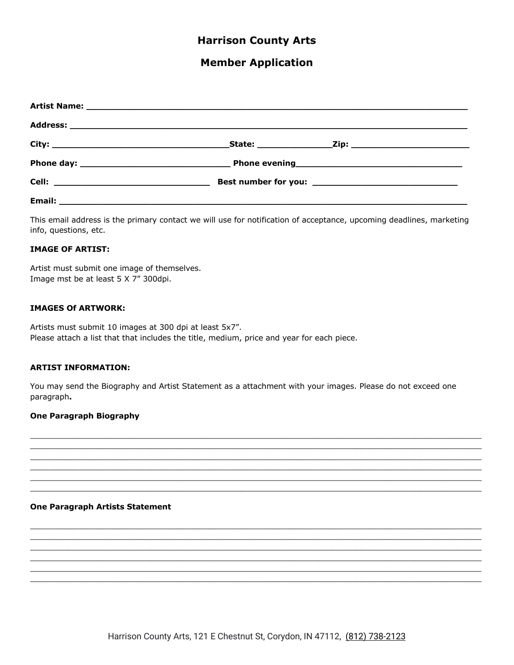# **Harrison County Arts**

# **Member Application**

| Email: |  |  |
|--------|--|--|

This email address is the primary contact we will use for notification of acceptance, upcoming deadlines, marketing info, questions, etc.

#### **IMAGE OF ARTIST:**

Artist must submit one image of themselves. Image mst be at least 5 X 7" 300dpi.

#### **IMAGES Of ARTWORK:**

Artists must submit 10 images at 300 dpi at least 5x7". Please attach a list that that includes the title, medium, price and year for each piece.

#### **ARTIST INFORMATION:**

You may send the Biography and Artist Statement as a attachment with your images. Please do not exceed one paragraph.

#### **One Paragraph Biography**

#### **One Paragraph Artists Statement**